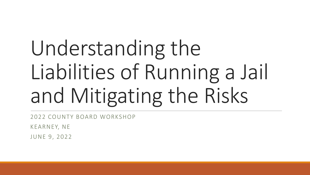# Understanding the Liabilities of Running a Jail and Mitigating the Risks

2022 COUNTY BOARD WORKSHOP

KEARNEY, NE

JUNE 9, 2022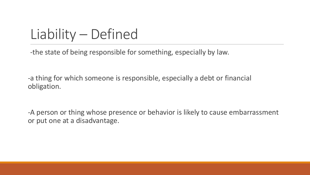#### Liability – Defined

-the state of being responsible for something, especially by law.

-a thing for which someone is responsible, especially a debt or financial obligation.

-A person or thing whose presence or behavior is likely to cause embarrassment or put one at a disadvantage.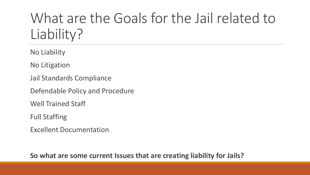#### What are the Goals for the Jail related to Liability?

No Liability

No Litigation

Jail Standards Compliance

Defendable Policy and Procedure

Well Trained Staff

Full Staffing

Excellent Documentation

**So what are some current Issues that are creating liability for Jails?**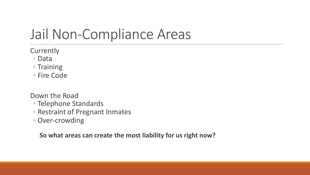#### Jail Non-Compliance Areas

**Currently** 

- Data
- Training
- Fire Code

Down the Road

- Telephone Standards
- Restraint of Pregnant Inmates
- Over-crowding

**So what areas can create the most liability for us right now?**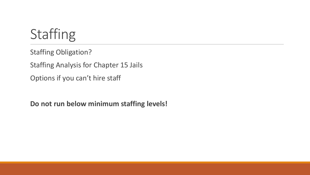### Staffing

Staffing Obligation?

Staffing Analysis for Chapter 15 Jails

Options if you can't hire staff

**Do not run below minimum staffing levels!**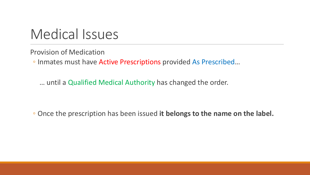#### Medical Issues

Provision of Medication

◦ Inmates must have Active Prescriptions provided As Prescribed…

… until a Qualified Medical Authority has changed the order.

◦ Once the prescription has been issued **it belongs to the name on the label.**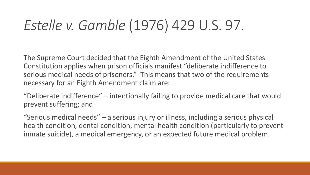#### *Estelle v. Gamble* (1976) 429 U.S. 97.

The Supreme Court decided that the Eighth Amendment of the United States Constitution applies when prison officials manifest "deliberate indifference to serious medical needs of prisoners." This means that two of the requirements necessary for an Eighth Amendment claim are:

"Deliberate indifference" – intentionally failing to provide medical care that would prevent suffering; and

"Serious medical needs" – a serious injury or illness, including a serious physical health condition, dental condition, mental health condition (particularly to prevent inmate suicide), a medical emergency, or an expected future medical problem.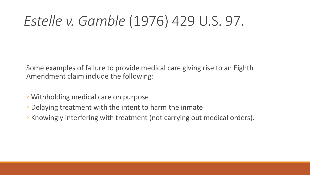#### *Estelle v. Gamble* (1976) 429 U.S. 97.

Some examples of failure to provide medical care giving rise to an Eighth Amendment claim include the following:

- Withholding medical care on purpose
- Delaying treatment with the intent to harm the inmate
- Knowingly interfering with treatment (not carrying out medical orders).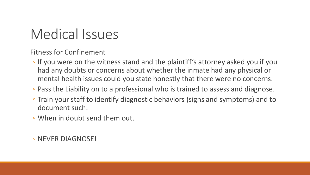#### Medical Issues

Fitness for Confinement

- If you were on the witness stand and the plaintiff's attorney asked you if you had any doubts or concerns about whether the inmate had any physical or mental health issues could you state honestly that there were no concerns.
- Pass the Liability on to a professional who is trained to assess and diagnose.
- Train your staff to identify diagnostic behaviors (signs and symptoms) and to document such.
- When in doubt send them out.

◦ NEVER DIAGNOSE!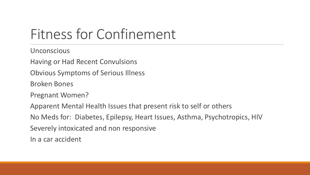#### Fitness for Confinement

**Unconscious** 

Having or Had Recent Convulsions

Obvious Symptoms of Serious Illness

Broken Bones

Pregnant Women?

Apparent Mental Health Issues that present risk to self or others

No Meds for: Diabetes, Epilepsy, Heart Issues, Asthma, Psychotropics, HIV

Severely intoxicated and non responsive

In a car accident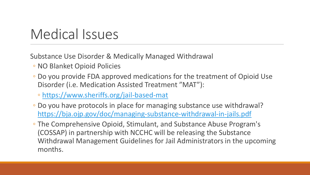#### Medical Issues

Substance Use Disorder & Medically Managed Withdrawal

- NO Blanket Opioid Policies
- Do you provide FDA approved medications for the treatment of Opioid Use Disorder (i.e. Medication Assisted Treatment "MAT"):
	- <https://www.sheriffs.org/jail-based-mat>
- Do you have protocols in place for managing substance use withdrawal? <https://bja.ojp.gov/doc/managing-substance-withdrawal-in-jails.pdf>
- The Comprehensive Opioid, Stimulant, and Substance Abuse Program's (COSSAP) in partnership with NCCHC will be releasing the Substance Withdrawal Management Guidelines for Jail Administrators in the upcoming months.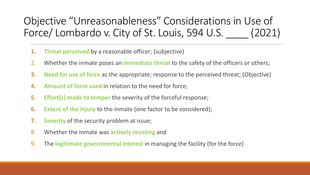#### Objective "Unreasonableness" Considerations in Use of Force/ Lombardo v. City of St. Louis, 594 U.S. (2021)

- **1. Threat perceived** by a reasonable officer; (subjective)
- 2. Whether the inmate poses an **immediate threat** to the safety of the officers or others;
- **3. Need for use of force** as the appropriate; response to the perceived threat; (Objective)
- **4. Amount of force used** in relation to the need for force;
- **5. Effort(s) made to temper** the severity of the forceful response;
- **6. Extent of the injury** to the inmate (one factor to be considered);
- **7. Severity** of the security problem at issue;
- 8. Whether the inmate was **actively resisting** and
- 9. The **legitimate governmental interest** in managing the facility (for the force)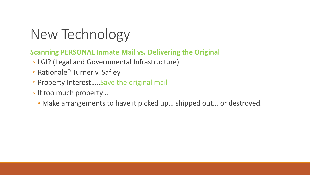#### New Technology

#### **Scanning PERSONAL Inmate Mail vs. Delivering the Original**

- LGI? (Legal and Governmental Infrastructure)
- Rationale? Turner v. Safley
- Property Interest…..Save the original mail
- If too much property…
	- Make arrangements to have it picked up… shipped out… or destroyed.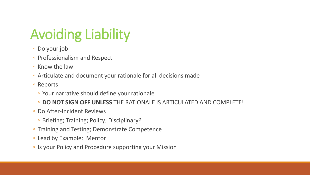## Avoiding Liability

- Do your job
- Professionalism and Respect
- Know the law
- Articulate and document your rationale for all decisions made
- Reports
	- Your narrative should define your rationale
	- **DO NOT SIGN OFF UNLESS** THE RATIONALE IS ARTICULATED AND COMPLETE!
- Do After-Incident Reviews
	- Briefing; Training; Policy; Disciplinary?
- Training and Testing; Demonstrate Competence
- Lead by Example: Mentor
- Is your Policy and Procedure supporting your Mission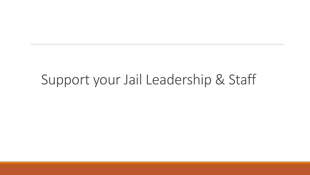#### Support your Jail Leadership & Staff